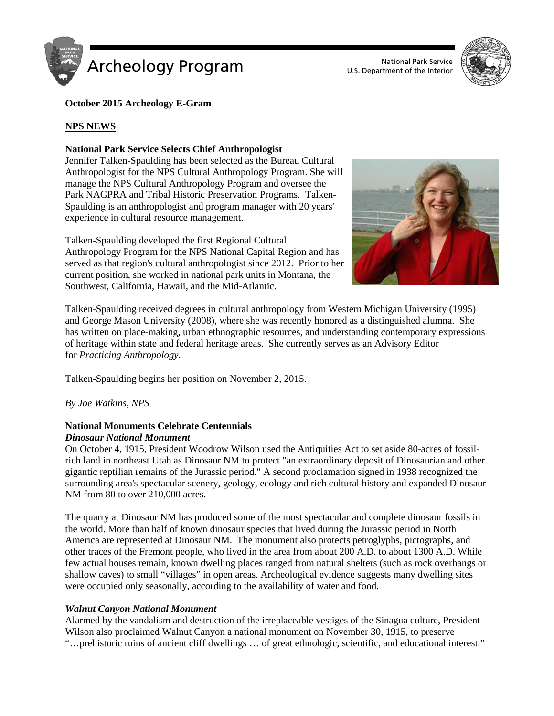



# **October 2015 Archeology E-Gram**

# **NPS NEWS**

### **National Park Service Selects Chief Anthropologist**

Jennifer Talken-Spaulding has been selected as the Bureau Cultural Anthropologist for the NPS Cultural Anthropology Program. She will manage the NPS Cultural Anthropology Program and oversee the Park NAGPRA and Tribal Historic Preservation Programs. Talken-Spaulding is an anthropologist and program manager with 20 years' experience in cultural resource management.

Talken-Spaulding developed the first Regional Cultural Anthropology Program for the NPS National Capital Region and has served as that region's cultural anthropologist since 2012. Prior to her current position, she worked in national park units in Montana, the Southwest, California, Hawaii, and the Mid-Atlantic.



Talken-Spaulding received degrees in cultural anthropology from Western Michigan University (1995) and George Mason University (2008), where she was recently honored as a distinguished alumna. She has written on place-making, urban ethnographic resources, and understanding contemporary expressions of heritage within state and federal heritage areas. She currently serves as an Advisory Editor for *Practicing Anthropology*.

Talken-Spaulding begins her position on November 2, 2015.

*By Joe Watkins, NPS*

### **National Monuments Celebrate Centennials** *Dinosaur National Monument*

On October 4, 1915, President Woodrow Wilson used the Antiquities Act to set aside 80-acres of fossilrich land in northeast Utah as Dinosaur NM to protect "an extraordinary deposit of Dinosaurian and other gigantic reptilian remains of the Jurassic period." A second proclamation signed in 1938 recognized the surrounding area's spectacular scenery, geology, ecology and rich cultural history and expanded Dinosaur NM from 80 to over 210,000 acres.

The quarry at Dinosaur NM has produced some of the most spectacular and complete dinosaur fossils in the world. More than half of known dinosaur species that lived during the Jurassic period in North America are represented at Dinosaur NM. The monument also protects petroglyphs, pictographs, and other traces of the Fremont people, who lived in the area from about 200 A.D. to about 1300 A.D. While few actual houses remain, known dwelling places ranged from natural shelters (such as rock overhangs or shallow caves) to small "villages" in open areas. Archeological evidence suggests many dwelling sites were occupied only seasonally, according to the availability of water and food.

### *Walnut Canyon National Monument*

Alarmed by the vandalism and destruction of the irreplaceable vestiges of the Sinagua culture, President Wilson also proclaimed Walnut Canyon a national monument on November 30, 1915, to preserve "…prehistoric ruins of ancient cliff dwellings … of great ethnologic, scientific, and educational interest."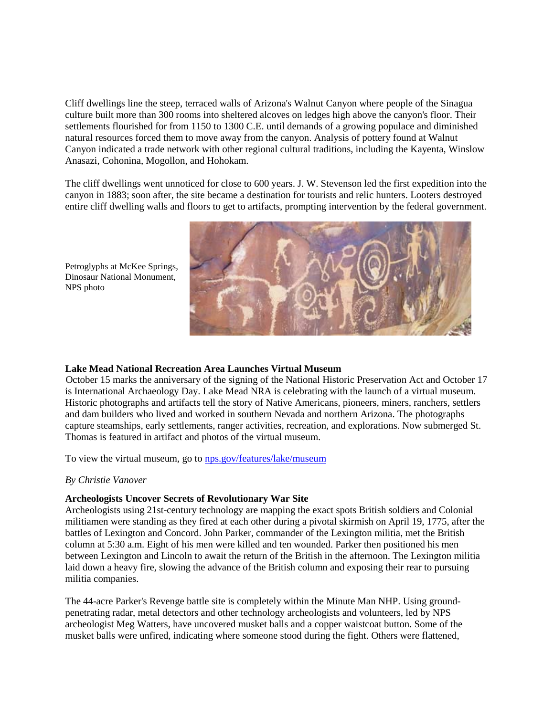Cliff dwellings line the steep, terraced walls of Arizona's Walnut Canyon where people of the Sinagua culture built more than 300 rooms into sheltered alcoves on ledges high above the canyon's floor. Their settlements flourished for from 1150 to 1300 C.E. until demands of a growing populace and diminished natural resources forced them to move away from the canyon. Analysis of pottery found at Walnut Canyon indicated a trade network with other regional cultural traditions, including the Kayenta, Winslow Anasazi, Cohonina, Mogollon, and Hohokam.

The cliff dwellings went unnoticed for close to 600 years. J. W. Stevenson led the first expedition into the canyon in 1883; soon after, the site became a destination for tourists and relic hunters. Looters destroyed entire cliff dwelling walls and floors to get to artifacts, prompting intervention by the federal government.



Petroglyphs at McKee Springs, Dinosaur National Monument, NPS photo

### **Lake Mead National Recreation Area Launches Virtual Museum**

October 15 marks the anniversary of the signing of the National Historic Preservation Act and October 17 is International Archaeology Day. Lake Mead NRA is celebrating with the launch of a virtual museum. Historic photographs and artifacts tell the story of Native Americans, pioneers, miners, ranchers, settlers and dam builders who lived and worked in southern Nevada and northern Arizona. The photographs capture steamships, early settlements, ranger activities, recreation, and explorations. Now submerged St. Thomas is featured in artifact and photos of the virtual museum.

To view the virtual museum, go to [nps.gov/features/lake/museum](http://nps.gov/features/lake/museum)

#### *By Christie Vanover*

### **Archeologists Uncover Secrets of Revolutionary War Site**

Archeologists using 21st-century technology are mapping the exact spots British soldiers and Colonial militiamen were standing as they fired at each other during a pivotal skirmish on April 19, 1775, after the battles of Lexington and Concord. John Parker, commander of the Lexington militia, met the British column at 5:30 a.m. Eight of his men were killed and ten wounded. Parker then positioned his men between Lexington and Lincoln to await the return of the British in the afternoon. The Lexington militia laid down a heavy fire, slowing the advance of the British column and exposing their rear to pursuing militia companies.

The 44-acre Parker's Revenge battle site is completely within the Minute Man NHP. Using groundpenetrating radar, metal detectors and other technology archeologists and volunteers, led by NPS archeologist Meg Watters, have uncovered musket balls and a copper waistcoat button. Some of the musket balls were unfired, indicating where someone stood during the fight. Others were flattened,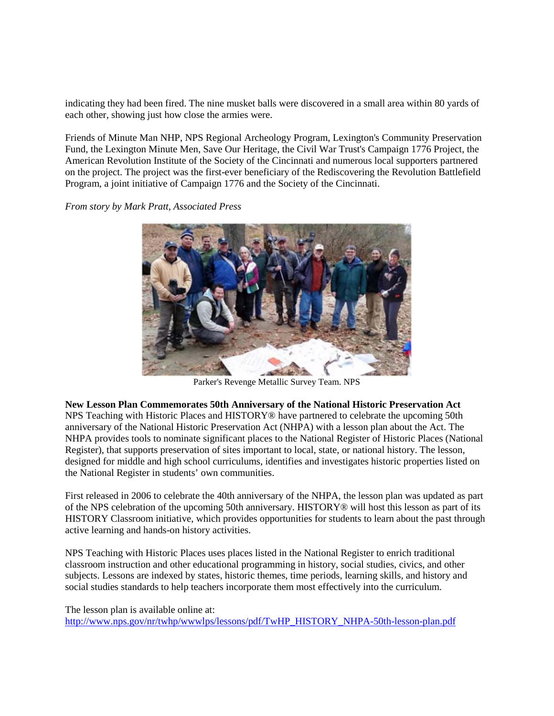indicating they had been fired. The nine musket balls were discovered in a small area within 80 yards of each other, showing just how close the armies were.

Friends of Minute Man NHP, NPS Regional Archeology Program, Lexington's Community Preservation Fund, the Lexington Minute Men, Save Our Heritage, the Civil War Trust's Campaign 1776 Project, the American Revolution Institute of the Society of the Cincinnati and numerous local supporters partnered on the project. The project was the first-ever beneficiary of the Rediscovering the Revolution Battlefield Program, a joint initiative of Campaign 1776 and the Society of the Cincinnati.

*From story by Mark Pratt, Associated Press*



Parker's Revenge Metallic Survey Team. NPS

**New Lesson Plan Commemorates 50th Anniversary of the National Historic Preservation Act**

NPS Teaching with Historic Places and HISTORY® have partnered to celebrate the upcoming 50th anniversary of the National Historic Preservation Act (NHPA) with a lesson plan about the Act. The NHPA provides tools to nominate significant places to the National Register of Historic Places (National Register), that supports preservation of sites important to local, state, or national history. The lesson, designed for middle and high school curriculums, identifies and investigates historic properties listed on the National Register in students' own communities.

First released in 2006 to celebrate the 40th anniversary of the NHPA, the lesson plan was updated as part of the NPS celebration of the upcoming 50th anniversary. HISTORY® will host this lesson as part of its HISTORY Classroom initiative, which provides opportunities for students to learn about the past through active learning and hands-on history activities.

NPS Teaching with Historic Places uses places listed in the National Register to enrich traditional classroom instruction and other educational programming in history, social studies, civics, and other subjects. Lessons are indexed by states, historic themes, time periods, learning skills, and history and social studies standards to help teachers incorporate them most effectively into the curriculum.

The lesson plan is available online at: [http://www.nps.gov/nr/twhp/wwwlps/lessons/pdf/TwHP\\_HISTORY\\_NHPA-50th-lesson-plan.pdf](http://www.nps.gov/nr/twhp/wwwlps/lessons/pdf/TwHP_HISTORY_NHPA-50th-lesson-plan.pdf)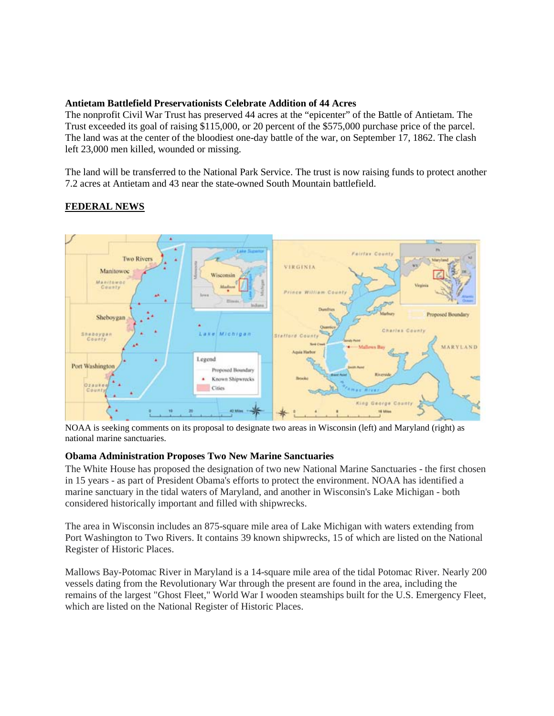### **Antietam Battlefield Preservationists Celebrate Addition of 44 Acres**

The nonprofit Civil War Trust has preserved 44 acres at the "epicenter" of the Battle of Antietam. The Trust exceeded its goal of raising \$115,000, or 20 percent of the \$575,000 purchase price of the parcel. The land was at the center of the bloodiest one-day battle of the war, on September 17, 1862. The clash left 23,000 men killed, wounded or missing.

The land will be transferred to the National Park Service. The trust is now raising funds to protect another 7.2 acres at Antietam and 43 near the state-owned South Mountain battlefield.

# **FEDERAL NEWS**



NOAA is seeking comments on its proposal to designate two areas in Wisconsin (left) and Maryland (right) as national marine sanctuaries.

### **Obama Administration Proposes Two New Marine Sanctuaries**

The White House has proposed the designation of two new National Marine Sanctuaries - the first chosen in 15 years - as part of President Obama's efforts to protect the environment. NOAA has identified a marine sanctuary in the tidal waters of Maryland, and another in Wisconsin's Lake Michigan - both considered historically important and filled with shipwrecks.

The area in Wisconsin includes an 875-square mile area of Lake Michigan with waters extending from Port Washington to Two Rivers. It contains 39 known shipwrecks, 15 of which are listed on the National Register of Historic Places.

Mallows Bay-Potomac River in Maryland is a 14-square mile area of the tidal Potomac River. Nearly 200 vessels dating from the Revolutionary War through the present are found in the area, including the remains of the largest "Ghost Fleet," World War I wooden steamships built for the U.S. Emergency Fleet, which are listed on the National Register of Historic Places.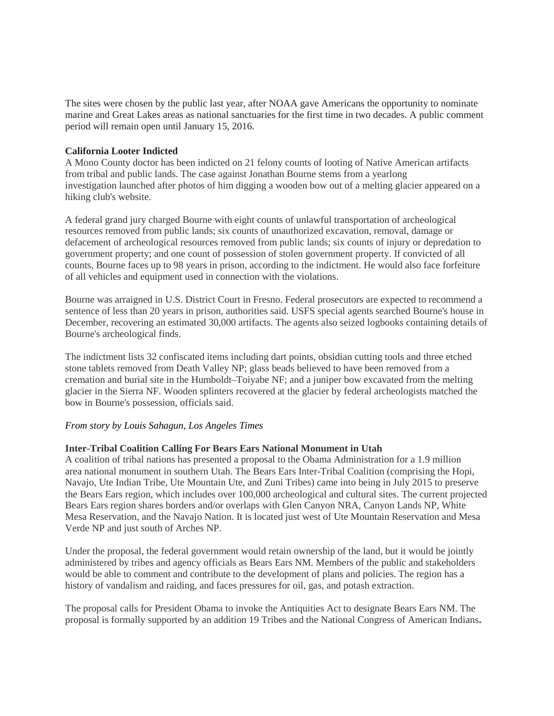The sites were chosen by the public last year, after NOAA gave Americans the opportunity to nominate marine and Great Lakes areas as national sanctuaries for the first time in two decades. A public comment period will remain open until January 15, 2016.

#### **California Looter Indicted**

A Mono County doctor has been indicted on 21 felony counts of looting of Native American artifacts from tribal and public lands. The case against Jonathan Bourne stems from a yearlong investigation launched after photos of him digging a wooden bow out of a melting glacier appeared on a hiking club's website.

A federal grand jury charged Bourne with eight counts of unlawful transportation of archeological resources removed from public lands; six counts of unauthorized excavation, removal, damage or defacement of archeological resources removed from public lands; six counts of injury or depredation to government property; and one count of possession of stolen government property. If convicted of all counts, Bourne faces up to 98 years in prison, according to the indictment. He would also face forfeiture of all vehicles and equipment used in connection with the violations.

Bourne was arraigned in U.S. District Court in Fresno. Federal prosecutors are expected to recommend a sentence of less than 20 years in prison, authorities said. USFS special agents searched Bourne's house in December, recovering an estimated 30,000 artifacts. The agents also seized logbooks containing details of Bourne's archeological finds.

The indictment lists 32 confiscated items including dart points, obsidian cutting tools and three etched stone tablets removed from Death Valley NP; glass beads believed to have been removed from a cremation and burial site in the Humboldt–Toiyabe NF; and a juniper bow excavated from the melting glacier in the Sierra NF. Wooden splinters recovered at the glacier by federal archeologists matched the bow in Bourne's possession, officials said.

### *From story by Louis Sahagun, Los Angeles Times*

### **Inter-Tribal Coalition Calling For Bears Ears National Monument in Utah**

A coalition of tribal nations has presented a proposal to the Obama Administration for a 1.9 million area national monument in southern Utah. The Bears Ears Inter-Tribal Coalition (comprising the Hopi, Navajo, Ute Indian Tribe, Ute Mountain Ute, and Zuni Tribes) came into being in July 2015 to preserve the Bears Ears region, which includes over 100,000 archeological and cultural sites. The current projected Bears Ears region shares borders and/or overlaps with Glen Canyon NRA, Canyon Lands NP, White Mesa Reservation, and the Navajo Nation. It is located just west of Ute Mountain Reservation and Mesa Verde NP and just south of Arches NP.

Under the proposal, the federal government would retain ownership of the land, but it would be jointly administered by tribes and agency officials as Bears Ears NM. Members of the public and stakeholders would be able to comment and contribute to the development of plans and policies. The region has a history of vandalism and raiding, and faces pressures for oil, gas, and potash extraction.

The proposal calls for President Obama to invoke the Antiquities Act to designate Bears Ears NM. The proposal is formally supported by an addition 19 Tribes and the National Congress of American Indians**.**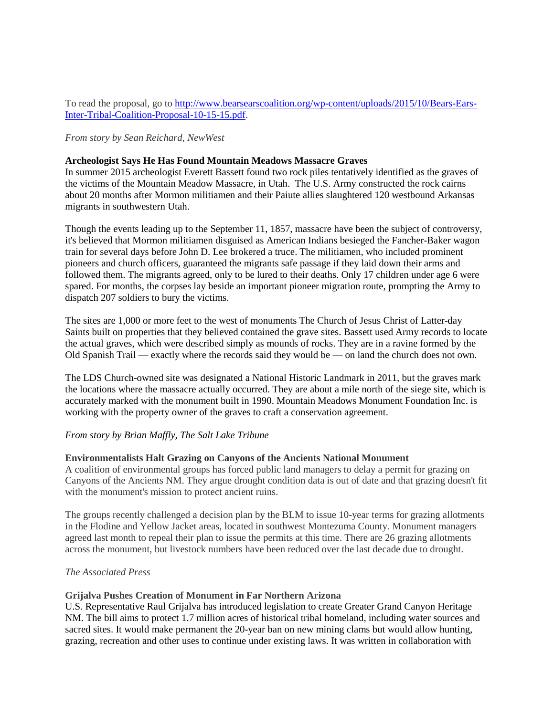To read the proposal, go to [http://www.bearsearscoalition.org/wp-content/uploads/2015/10/Bears-Ears-](http://www.bearsearscoalition.org/wp-content/uploads/2015/10/Bears-Ears-Inter-Tribal-Coalition-Proposal-10-15-15.pdf)[Inter-Tribal-Coalition-Proposal-10-15-15.pdf.](http://www.bearsearscoalition.org/wp-content/uploads/2015/10/Bears-Ears-Inter-Tribal-Coalition-Proposal-10-15-15.pdf)

*From story by Sean Reichard, NewWest*

#### **Archeologist Says He Has Found Mountain Meadows Massacre Graves**

In summer 2015 archeologist Everett Bassett found two rock piles tentatively identified as the graves of the victims of the Mountain Meadow Massacre, in Utah. The U.S. Army constructed the rock cairns about 20 months after Mormon militiamen and their Paiute allies slaughtered 120 westbound Arkansas migrants in southwestern Utah.

Though the events leading up to the September 11, 1857, massacre have been the subject of controversy, it's believed that Mormon militiamen disguised as American Indians besieged the Fancher-Baker wagon train for several days before John D. Lee brokered a truce. The militiamen, who included prominent pioneers and church officers, guaranteed the migrants safe passage if they laid down their arms and followed them. The migrants agreed, only to be lured to their deaths. Only 17 children under age 6 were spared. For months, the corpses lay beside an important pioneer migration route, prompting the Army to dispatch 207 soldiers to bury the victims.

The sites are 1,000 or more feet to the west of monuments The Church of Jesus Christ of Latter-day Saints built on properties that they believed contained the grave sites. Bassett used Army records to locate the actual graves, which were described simply as mounds of rocks. They are in a ravine formed by the Old Spanish Trail — exactly where the records said they would be — on land the church does not own.

The LDS Church-owned site was designated a National Historic Landmark in 2011, but the graves mark the locations where the massacre actually occurred. They are about a mile north of the siege site, which is accurately marked with the monument built in 1990. Mountain Meadows Monument Foundation Inc. is working with the property owner of the graves to craft a conservation agreement.

#### *From story by Brian Maffly, The Salt Lake Tribune*

#### **Environmentalists Halt Grazing on Canyons of the Ancients National Monument**

A coalition of environmental groups has forced public land managers to delay a permit for grazing on Canyons of the Ancients NM. They argue drought condition data is out of date and that grazing doesn't fit with the monument's mission to protect ancient ruins.

The groups recently challenged a decision plan by the BLM to issue 10-year terms for grazing allotments in the Flodine and Yellow Jacket areas, located in southwest Montezuma County. Monument managers agreed last month to repeal their plan to issue the permits at this time. There are 26 grazing allotments across the monument, but livestock numbers have been reduced over the last decade due to drought.

#### *The Associated Press*

#### **Grijalva Pushes Creation of Monument in Far Northern Arizona**

U.S. Representative Raul Grijalva has introduced legislation to create Greater Grand Canyon Heritage NM. The bill aims to protect 1.7 million acres of historical tribal homeland, including water sources and sacred sites. It would make permanent the 20-year ban on new mining clams but would allow hunting, grazing, recreation and other uses to continue under existing laws. It was written in collaboration with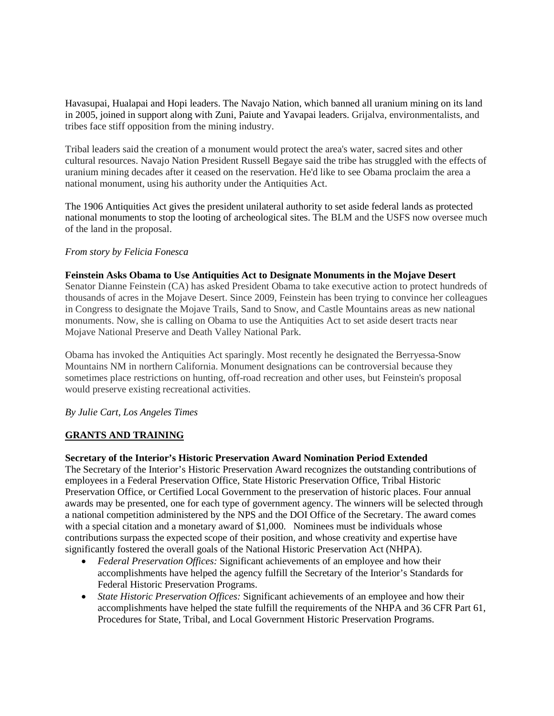Havasupai, Hualapai and Hopi leaders. The Navajo Nation, which banned all uranium mining on its land in 2005, joined in support along with Zuni, Paiute and Yavapai leaders. Grijalva, environmentalists, and tribes face stiff opposition from the mining industry.

Tribal leaders said the creation of a monument would protect the area's water, sacred sites and other cultural resources. Navajo Nation President Russell Begaye said the tribe has struggled with the effects of uranium mining decades after it ceased on the reservation. He'd like to see Obama proclaim the area a national monument, using his authority under the Antiquities Act.

The 1906 Antiquities Act gives the president unilateral authority to set aside federal lands as protected national monuments to stop the looting of archeological sites. The BLM and the USFS now oversee much of the land in the proposal.

### *From story by Felicia Fonesca*

#### **Feinstein Asks Obama to Use Antiquities Act to Designate Monuments in the Mojave Desert**

Senator Dianne Feinstein (CA) has asked President Obama to take executive action to protect hundreds of thousands of acres in the Mojave Desert. Since 2009, Feinstein has been trying to convince her colleagues in Congress to designate the Mojave Trails, Sand to Snow, and Castle Mountains areas as new national monuments. Now, she is calling on Obama to use the Antiquities Act to set aside desert tracts near Mojave National Preserve and Death Valley National Park.

Obama has invoked the Antiquities Act sparingly. Most recently he designated the Berryessa-Snow Mountains NM in northern California. Monument designations can be controversial because they sometimes place restrictions on hunting, off-road recreation and other uses, but Feinstein's proposal would preserve existing recreational activities.

### *By Julie Cart, Los Angeles Times*

# **GRANTS AND TRAINING**

### **Secretary of the Interior's Historic Preservation Award Nomination Period Extended**

The Secretary of the Interior's Historic Preservation Award recognizes the outstanding contributions of employees in a Federal Preservation Office, State Historic Preservation Office, Tribal Historic Preservation Office, or Certified Local Government to the preservation of historic places. Four annual awards may be presented, one for each type of government agency. The winners will be selected through a national competition administered by the NPS and the DOI Office of the Secretary. The award comes with a special citation and a monetary award of \$1,000. Nominees must be individuals whose contributions surpass the expected scope of their position, and whose creativity and expertise have significantly fostered the overall goals of the National Historic Preservation Act (NHPA).

- *Federal Preservation Offices:* Significant achievements of an employee and how their accomplishments have helped the agency fulfill the Secretary of the Interior's Standards for Federal Historic Preservation Programs.
- *State Historic Preservation Offices:* Significant achievements of an employee and how their accomplishments have helped the state fulfill the requirements of the NHPA and 36 CFR Part 61, Procedures for State, Tribal, and Local Government Historic Preservation Programs.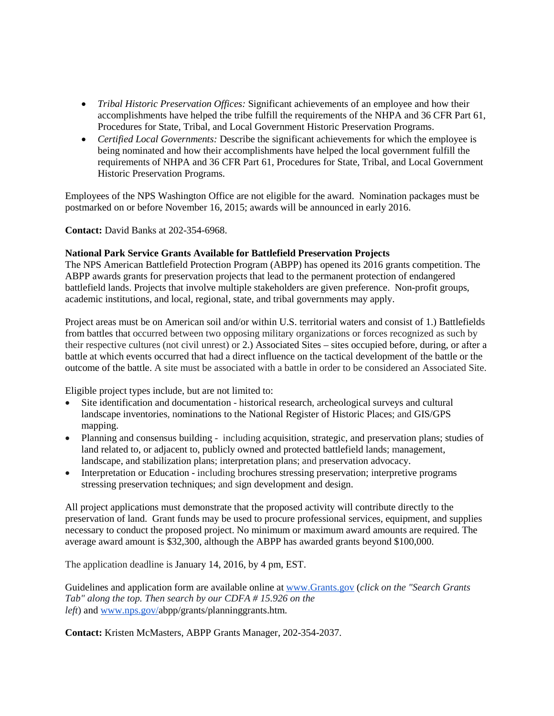- *Tribal Historic Preservation Offices:* Significant achievements of an employee and how their accomplishments have helped the tribe fulfill the requirements of the NHPA and 36 CFR Part 61, Procedures for State, Tribal, and Local Government Historic Preservation Programs.
- *Certified Local Governments:* Describe the significant achievements for which the employee is being nominated and how their accomplishments have helped the local government fulfill the requirements of NHPA and 36 CFR Part 61, Procedures for State, Tribal, and Local Government Historic Preservation Programs.

Employees of the NPS Washington Office are not eligible for the award. Nomination packages must be postmarked on or before November 16, 2015; awards will be announced in early 2016.

**Contact:** David Banks at 202-354-6968.

### **National Park Service Grants Available for Battlefield Preservation Projects**

The NPS American Battlefield Protection Program (ABPP) has opened its 2016 grants competition. The ABPP awards grants for preservation projects that lead to the permanent protection of endangered battlefield lands. Projects that involve multiple stakeholders are given preference. Non-profit groups, academic institutions, and local, regional, state, and tribal governments may apply.

Project areas must be on American soil and/or within U.S. territorial waters and consist of 1.) Battlefields from battles that occurred between two opposing military organizations or forces recognized as such by their respective cultures (not civil unrest) or 2.) Associated Sites – sites occupied before, during, or after a battle at which events occurred that had a direct influence on the tactical development of the battle or the outcome of the battle. A site must be associated with a battle in order to be considered an Associated Site.

Eligible project types include, but are not limited to:

- Site identification and documentation historical research, archeological surveys and cultural landscape inventories, nominations to the National Register of Historic Places; and GIS/GPS mapping.
- Planning and consensus building including acquisition, strategic, and preservation plans; studies of land related to, or adjacent to, publicly owned and protected battlefield lands; management, landscape, and stabilization plans; interpretation plans; and preservation advocacy.
- Interpretation or Education including brochures stressing preservation; interpretive programs stressing preservation techniques; and sign development and design.

All project applications must demonstrate that the proposed activity will contribute directly to the preservation of land. Grant funds may be used to procure professional services, equipment, and supplies necessary to conduct the proposed project. No minimum or maximum award amounts are required. The average award amount is \$32,300, although the ABPP has awarded grants beyond \$100,000.

The application deadline is January 14, 2016, by 4 pm, EST.

Guidelines and application form are available online at [www.Grants.gov](http://www.grants.gov/) (*click on the "Search Grants Tab" along the top. Then search by our CDFA # 15.926 on the left*) and [www.nps.gov/a](http://www.nps.gov/)bpp/grants/planninggrants.htm.

**Contact:** Kristen McMasters, ABPP Grants Manager, 202-354-2037.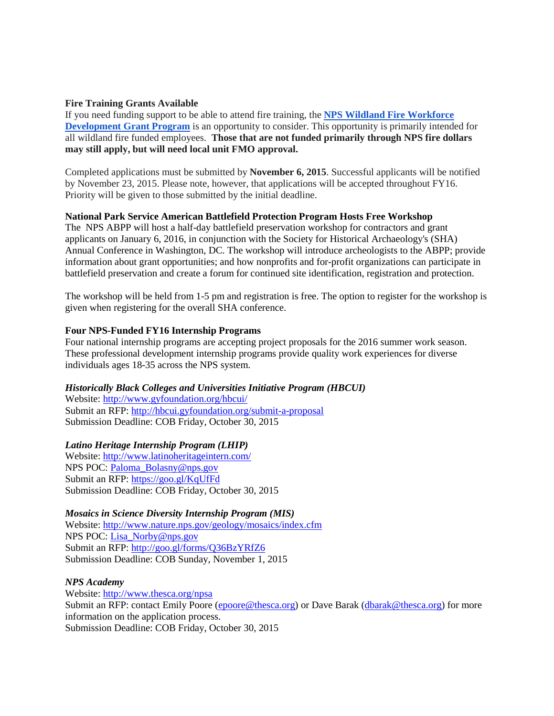### **Fire Training Grants Available**

If you need funding support to be able to attend fire training, the **[NPS Wildland Fire Workforce](https://sites.google.com/a/nps.gov/nps-fam-wfd1/?pli=1)  [Development Grant Program](https://sites.google.com/a/nps.gov/nps-fam-wfd1/?pli=1)** is an opportunity to consider. This opportunity is primarily intended for all wildland fire funded employees. **Those that are not funded primarily through NPS fire dollars may still apply, but will need local unit FMO approval.**

Completed applications must be submitted by **November 6, 2015**. Successful applicants will be notified by November 23, 2015. Please note, however, that applications will be accepted throughout FY16. Priority will be given to those submitted by the initial deadline.

### **National Park Service American Battlefield Protection Program Hosts Free Workshop**

The NPS ABPP will host a half-day battlefield preservation workshop for contractors and grant applicants on January 6, 2016, in conjunction with the Society for Historical Archaeology's (SHA) Annual Conference in Washington, DC. The workshop will introduce archeologists to the ABPP; provide information about grant opportunities; and how nonprofits and for-profit organizations can participate in battlefield preservation and create a forum for continued site identification, registration and protection.

The workshop will be held from 1-5 pm and registration is free. The option to register for the workshop is given when registering for the overall SHA conference.

## **Four NPS-Funded FY16 Internship Programs**

Four national internship programs are accepting project proposals for the 2016 summer work season. These professional development internship programs provide quality work experiences for diverse individuals ages 18-35 across the NPS system.

# *Historically Black Colleges and Universities Initiative Program (HBCUI)*

Website:<http://www.gyfoundation.org/hbcui/> Submit an RFP:<http://hbcui.gyfoundation.org/submit-a-proposal> Submission Deadline: COB Friday, October 30, 2015

### *Latino Heritage Internship Program (LHIP)*

Website:<http://www.latinoheritageintern.com/> NPS POC: [Paloma\\_Bolasny@nps.gov](mailto:Paloma_Bolasny@nps.gov) Submit an RFP:<https://goo.gl/KqUfFd> Submission Deadline: COB Friday, October 30, 2015

*Mosaics in Science Diversity Internship Program (MIS)* Website: <http://www.nature.nps.gov/geology/mosaics/index.cfm> NPS POC: [Lisa\\_Norby@nps.gov](mailto:Lisa_Norby@nps.gov) Submit an RFP:<http://goo.gl/forms/Q36BzYRfZ6> Submission Deadline: COB Sunday, November 1, 2015

### *NPS Academy*

Website:<http://www.thesca.org/npsa> Submit an RFP: contact Emily Poore [\(epoore@thesca.org\)](mailto:epoore@thesca.org) or Dave Barak [\(dbarak@thesca.org\)](mailto:dbarak@thesca.org) for more information on the application process. Submission Deadline: COB Friday, October 30, 2015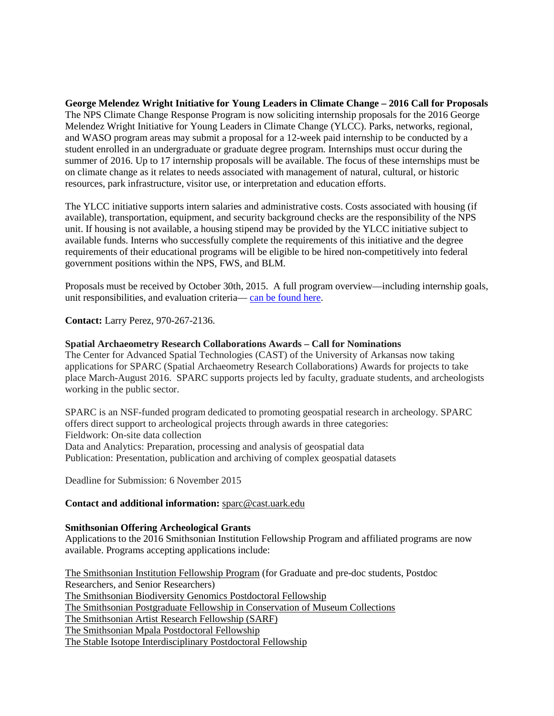**George Melendez Wright Initiative for Young Leaders in Climate Change – 2016 Call for Proposals** The NPS Climate Change Response Program is now soliciting internship proposals for the 2016 George Melendez Wright Initiative for Young Leaders in Climate Change (YLCC). Parks, networks, regional, and WASO program areas may submit a proposal for a 12-week paid internship to be conducted by a student enrolled in an undergraduate or graduate degree program. Internships must occur during the summer of 2016. Up to 17 internship proposals will be available. The focus of these internships must be on climate change as it relates to needs associated with management of natural, cultural, or historic resources, park infrastructure, visitor use, or interpretation and education efforts.

The YLCC initiative supports intern salaries and administrative costs. Costs associated with housing (if available), transportation, equipment, and security background checks are the responsibility of the NPS unit. If housing is not available, a housing stipend may be provided by the YLCC initiative subject to available funds. Interns who successfully complete the requirements of this initiative and the degree requirements of their educational programs will be eligible to be hired non-competitively into federal government positions within the NPS, FWS, and BLM.

Proposals must be received by October 30th, 2015. A full program overview—including internship goals, unit responsibilities, and evaluation criteria— [can be found here.](https://docs.google.com/document/d/1YOhu-RK5cd7290_eWCsapdw5S96GLnQkHVbf5Tc97dU/edit)

**Contact:** Larry Perez, 970-267-2136.

#### **Spatial Archaeometry Research Collaborations Awards – Call for Nominations**

The Center for Advanced Spatial Technologies (CAST) of the University of Arkansas now taking applications for SPARC (Spatial Archaeometry Research Collaborations) Awards for projects to take place March-August 2016. SPARC supports projects led by faculty, graduate students, and archeologists working in the public sector.

SPARC is an NSF-funded program dedicated to promoting geospatial research in archeology. SPARC offers direct support to archeological projects through awards in three categories: Fieldwork: On-site data collection Data and Analytics: Preparation, processing and analysis of geospatial data Publication: Presentation, publication and archiving of complex geospatial datasets

Deadline for Submission: 6 November 2015

#### **Contact and additional information:** [sparc@cast.uark.edu](mailto:sparc@cast.uark.edu)

#### **Smithsonian Offering Archeological Grants**

Applications to the 2016 Smithsonian Institution Fellowship Program and affiliated programs are now available. Programs accepting applications include:

The [Smithsonian](http://www.smithsonianofi.com/fellowship-opportunities/smithsonian-institution-fellowship-program/) Institution Fellowship Program (for Graduate and pre-doc students, Postdoc Researchers, and Senior Researchers) The [Smithsonian](http://www.smithsonianofi.com/smithsonian-biodiversity-genomics-postdoctoral-fellowship-program/) Biodiversity Genomics Postdoctoral Fellowship The Smithsonian Postgraduate Fellowship in [Conservation](http://www.smithsonianofi.com/fellowship-opportunities/smithsonian-postgraduate-fellowships-in-conservation-of-museum-collections-program/) of Museum Collections The [Smithsonian](http://www.smithsonianofi.com/fellowship-opportunities/%20smithsonian-artisit-research-fellowship-sarf/) Artist Research Fellowship (SARF) The [Smithsonian](http://www.smithsonianofi.com/fellowship-opportunities/mpala-postdoctoral-fellowship/) Mpala Postdoctoral Fellowship The Stable Isotope [Interdisciplinary](http://www.smithsonianofi.com/fellowship-opportunities/stable-isotope-interdisciplinary-post-doctoral-fellowship/) Postdoctoral Fellowship